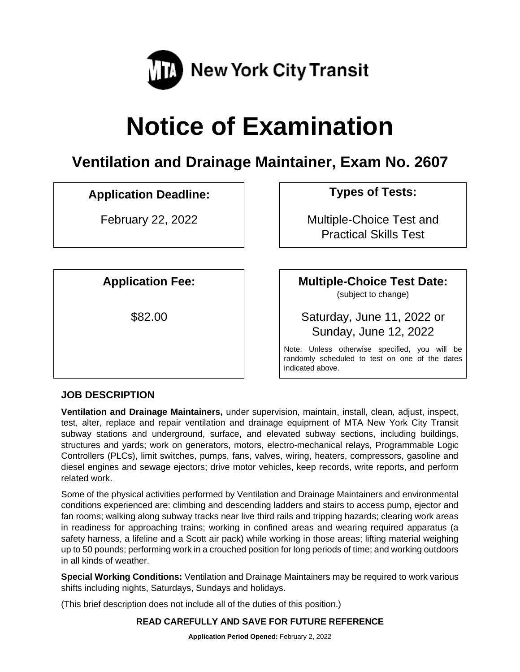

# **Notice of Examination**

# **Ventilation and Drainage Maintainer, Exam No. 2607**

## **Application Deadline: Types of Tests:**

February 22, 2022 **February 22, 2022 Multiple-Choice Test and** Practical Skills Test

**Application Fee: Multiple-Choice Test Date:**

(subject to change)

\$82.00 Saturday, June 11, 2022 or Sunday, June 12, 2022

> Note: Unless otherwise specified, you will be randomly scheduled to test on one of the dates indicated above.

## **JOB DESCRIPTION**

**Ventilation and Drainage Maintainers,** under supervision, maintain, install, clean, adjust, inspect, test, alter, replace and repair ventilation and drainage equipment of MTA New York City Transit subway stations and underground, surface, and elevated subway sections, including buildings, structures and yards; work on generators, motors, electro-mechanical relays, Programmable Logic Controllers (PLCs), limit switches, pumps, fans, valves, wiring, heaters, compressors, gasoline and diesel engines and sewage ejectors; drive motor vehicles, keep records, write reports, and perform related work.

Some of the physical activities performed by Ventilation and Drainage Maintainers and environmental conditions experienced are: climbing and descending ladders and stairs to access pump, ejector and fan rooms; walking along subway tracks near live third rails and tripping hazards; clearing work areas in readiness for approaching trains; working in confined areas and wearing required apparatus (a safety harness, a lifeline and a Scott air pack) while working in those areas; lifting material weighing up to 50 pounds; performing work in a crouched position for long periods of time; and working outdoors in all kinds of weather.

**Special Working Conditions:** Ventilation and Drainage Maintainers may be required to work various shifts including nights, Saturdays, Sundays and holidays.

(This brief description does not include all of the duties of this position.)

## **READ CAREFULLY AND SAVE FOR FUTURE REFERENCE**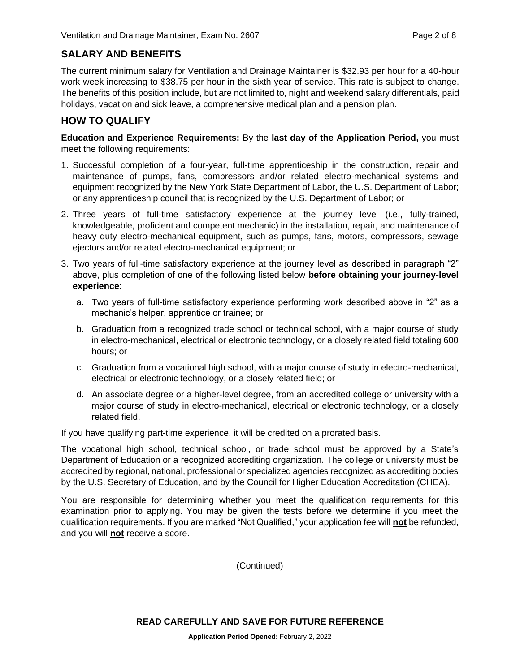## **SALARY AND BENEFITS**

The current minimum salary for Ventilation and Drainage Maintainer is \$32.93 per hour for a 40-hour work week increasing to \$38.75 per hour in the sixth year of service. This rate is subject to change. The benefits of this position include, but are not limited to, night and weekend salary differentials, paid holidays, vacation and sick leave, a comprehensive medical plan and a pension plan.

## **HOW TO QUALIFY**

**Education and Experience Requirements:** By the **last day of the Application Period,** you must meet the following requirements:

- 1. Successful completion of a four-year, full-time apprenticeship in the construction, repair and maintenance of pumps, fans, compressors and/or related electro-mechanical systems and equipment recognized by the New York State Department of Labor, the U.S. Department of Labor; or any apprenticeship council that is recognized by the U.S. Department of Labor; or
- 2. Three years of full-time satisfactory experience at the journey level (i.e., fully-trained, knowledgeable, proficient and competent mechanic) in the installation, repair, and maintenance of heavy duty electro-mechanical equipment, such as pumps, fans, motors, compressors, sewage ejectors and/or related electro-mechanical equipment; or
- 3. Two years of full-time satisfactory experience at the journey level as described in paragraph "2" above, plus completion of one of the following listed below **before obtaining your journey-level experience**:
	- a. Two years of full-time satisfactory experience performing work described above in "2" as a mechanic's helper, apprentice or trainee; or
	- b. Graduation from a recognized trade school or technical school, with a major course of study in electro-mechanical, electrical or electronic technology, or a closely related field totaling 600 hours; or
	- c. Graduation from a vocational high school, with a major course of study in electro-mechanical, electrical or electronic technology, or a closely related field; or
	- d. An associate degree or a higher-level degree, from an accredited college or university with a major course of study in electro-mechanical, electrical or electronic technology, or a closely related field.

If you have qualifying part-time experience, it will be credited on a prorated basis.

The vocational high school, technical school, or trade school must be approved by a State's Department of Education or a recognized accrediting organization. The college or university must be accredited by regional, national, professional or specialized agencies recognized as accrediting bodies by the U.S. Secretary of Education, and by the Council for Higher Education Accreditation (CHEA).

You are responsible for determining whether you meet the qualification requirements for this examination prior to applying. You may be given the tests before we determine if you meet the qualification requirements. If you are marked "Not Qualified," your application fee will **not** be refunded, and you will **not** receive a score.

(Continued)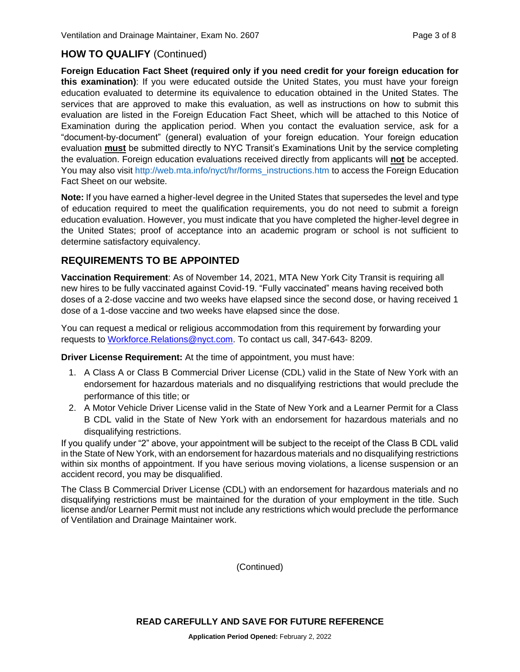## **HOW TO QUALIFY** (Continued)

**Foreign Education Fact Sheet (required only if you need credit for your foreign education for this examination)**: If you were educated outside the United States, you must have your foreign education evaluated to determine its equivalence to education obtained in the United States. The services that are approved to make this evaluation, as well as instructions on how to submit this evaluation are listed in the Foreign Education Fact Sheet, which will be attached to this Notice of Examination during the application period. When you contact the evaluation service, ask for a "document-by-document" (general) evaluation of your foreign education. Your foreign education evaluation **must** be submitted directly to NYC Transit's Examinations Unit by the service completing the evaluation. Foreign education evaluations received directly from applicants will **not** be accepted. You may also visit [http://web.mta.info/nyct/hr/forms\\_instructions.htm](http://web.mta.info/nyct/hr/forms_instructions.htm) to access the Foreign Education Fact Sheet on our website.

**Note:** If you have earned a higher-level degree in the United States that supersedes the level and type of education required to meet the qualification requirements, you do not need to submit a foreign education evaluation. However, you must indicate that you have completed the higher-level degree in the United States; proof of acceptance into an academic program or school is not sufficient to determine satisfactory equivalency.

## **REQUIREMENTS TO BE APPOINTED**

**Vaccination Requirement**: As of November 14, 2021, MTA New York City Transit is requiring all new hires to be fully vaccinated against Covid-19. "Fully vaccinated" means having received both doses of a 2-dose vaccine and two weeks have elapsed since the second dose, or having received 1 dose of a 1-dose vaccine and two weeks have elapsed since the dose.

You can request a medical or religious accommodation from this requirement by forwarding your requests to [Workforce.Relations@nyct.com.](mailto:Workforce.Relations@nyct.com) To contact us call, 347-643- 8209.

**Driver License Requirement:** At the time of appointment, you must have:

- 1. A Class A or Class B Commercial Driver License (CDL) valid in the State of New York with an endorsement for hazardous materials and no disqualifying restrictions that would preclude the performance of this title; or
- 2. A Motor Vehicle Driver License valid in the State of New York and a Learner Permit for a Class B CDL valid in the State of New York with an endorsement for hazardous materials and no disqualifying restrictions.

If you qualify under "2" above, your appointment will be subject to the receipt of the Class B CDL valid in the State of New York, with an endorsement for hazardous materials and no disqualifying restrictions within six months of appointment. If you have serious moving violations, a license suspension or an accident record, you may be disqualified.

The Class B Commercial Driver License (CDL) with an endorsement for hazardous materials and no disqualifying restrictions must be maintained for the duration of your employment in the title. Such license and/or Learner Permit must not include any restrictions which would preclude the performance of Ventilation and Drainage Maintainer work.

(Continued)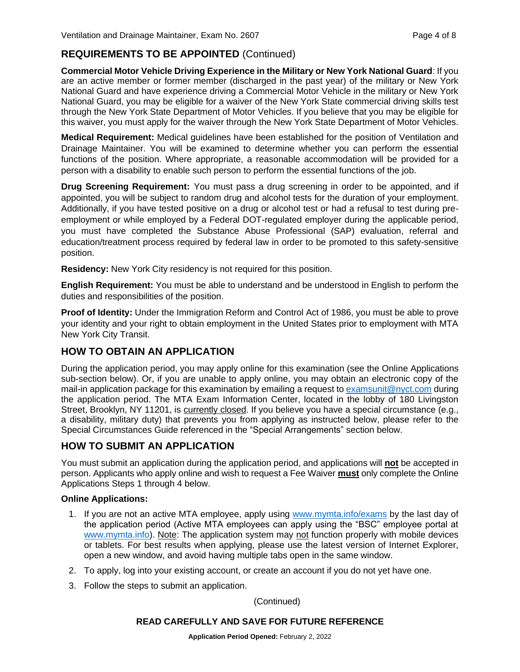## **REQUIREMENTS TO BE APPOINTED** (Continued)

**Commercial Motor Vehicle Driving Experience in the Military or New York National Guard**: If you are an active member or former member (discharged in the past year) of the military or New York National Guard and have experience driving a Commercial Motor Vehicle in the military or New York National Guard, you may be eligible for a waiver of the New York State commercial driving skills test through the New York State Department of Motor Vehicles. If you believe that you may be eligible for this waiver, you must apply for the waiver through the New York State Department of Motor Vehicles.

**Medical Requirement:** Medical guidelines have been established for the position of Ventilation and Drainage Maintainer. You will be examined to determine whether you can perform the essential functions of the position. Where appropriate, a reasonable accommodation will be provided for a person with a disability to enable such person to perform the essential functions of the job.

**Drug Screening Requirement:** You must pass a drug screening in order to be appointed, and if appointed, you will be subject to random drug and alcohol tests for the duration of your employment. Additionally, if you have tested positive on a drug or alcohol test or had a refusal to test during preemployment or while employed by a Federal DOT-regulated employer during the applicable period, you must have completed the Substance Abuse Professional (SAP) evaluation, referral and education/treatment process required by federal law in order to be promoted to this safety-sensitive position.

**Residency:** New York City residency is not required for this position.

**English Requirement:** You must be able to understand and be understood in English to perform the duties and responsibilities of the position.

**Proof of Identity:** Under the Immigration Reform and Control Act of 1986, you must be able to prove your identity and your right to obtain employment in the United States prior to employment with MTA New York City Transit.

## **HOW TO OBTAIN AN APPLICATION**

During the application period, you may apply online for this examination (see the Online Applications sub-section below). Or, if you are unable to apply online, you may obtain an electronic copy of the mail-in application package for this examination by emailing a request to [examsunit@nyct.com](mailto:examsunit@nyct.com) during the application period. The MTA Exam Information Center, located in the lobby of 180 Livingston Street, Brooklyn, NY 11201, is currently closed. If you believe you have a special circumstance (e.g., a disability, military duty) that prevents you from applying as instructed below, please refer to the Special Circumstances Guide referenced in the "Special Arrangements" section below.

## **HOW TO SUBMIT AN APPLICATION**

You must submit an application during the application period, and applications will **not** be accepted in person. Applicants who apply online and wish to request a Fee Waiver **must** only complete the Online Applications Steps 1 through 4 below.

#### **Online Applications:**

- 1. If you are not an active MTA employee, apply using [www.mymta.info/exams](http://www.mymta.info/exams) by the last day of the application period (Active MTA employees can apply using the "BSC" employee portal at [www.mymta.info\)](http://www.mymta.info/). Note: The application system may not function properly with mobile devices or tablets. For best results when applying, please use the latest version of Internet Explorer, open a new window, and avoid having multiple tabs open in the same window.
- 2. To apply, log into your existing account, or create an account if you do not yet have one.
- 3. Follow the steps to submit an application.

(Continued)

#### **READ CAREFULLY AND SAVE FOR FUTURE REFERENCE**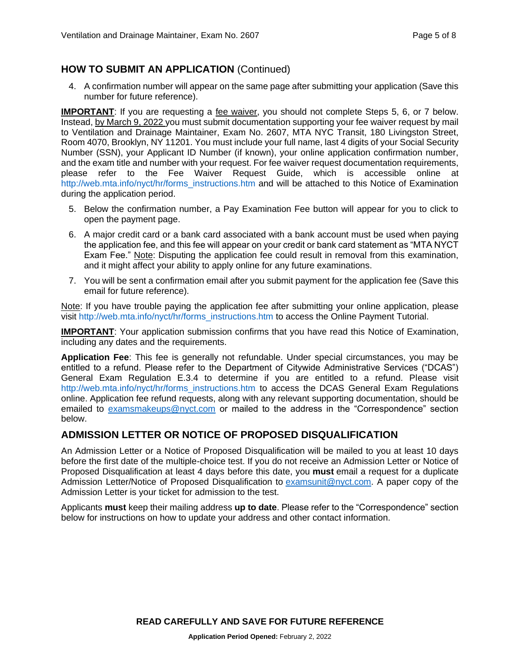## **HOW TO SUBMIT AN APPLICATION** (Continued)

4. A confirmation number will appear on the same page after submitting your application (Save this number for future reference).

**IMPORTANT**: If you are requesting a fee waiver, you should not complete Steps 5, 6, or 7 below. Instead, by March 9, 2022 you must submit documentation supporting your fee waiver request by mail to Ventilation and Drainage Maintainer, Exam No. 2607, MTA NYC Transit, 180 Livingston Street, Room 4070, Brooklyn, NY 11201. You must include your full name, last 4 digits of your Social Security Number (SSN), your Applicant ID Number (if known), your online application confirmation number, and the exam title and number with your request. For fee waiver request documentation requirements, please refer to the Fee Waiver Request Guide, which is accessible online at [http://web.mta.info/nyct/hr/forms\\_instructions.htm](http://web.mta.info/nyct/hr/forms_instructions.htm) and will be attached to this Notice of Examination during the application period.

- 5. Below the confirmation number, a Pay Examination Fee button will appear for you to click to open the payment page.
- 6. A major credit card or a bank card associated with a bank account must be used when paying the application fee, and this fee will appear on your credit or bank card statement as "MTA NYCT Exam Fee." Note: Disputing the application fee could result in removal from this examination, and it might affect your ability to apply online for any future examinations.
- 7. You will be sent a confirmation email after you submit payment for the application fee (Save this email for future reference).

Note: If you have trouble paying the application fee after submitting your online application, please visit [http://web.mta.info/nyct/hr/forms\\_instructions.htm](http://web.mta.info/nyct/hr/forms_instructions.htm) to access the Online Payment Tutorial.

**IMPORTANT:** Your application submission confirms that you have read this Notice of Examination, including any dates and the requirements.

**Application Fee**: This fee is generally not refundable. Under special circumstances, you may be entitled to a refund. Please refer to the Department of Citywide Administrative Services ("DCAS") General Exam Regulation E.3.4 to determine if you are entitled to a refund. Please visit [http://web.mta.info/nyct/hr/forms\\_instructions.htm](http://web.mta.info/nyct/hr/forms_instructions.htm) to access the DCAS General Exam Regulations online. Application fee refund requests, along with any relevant supporting documentation, should be emailed to [examsmakeups@nyct.com](mailto:examsmakeups@nyct.com) or mailed to the address in the "Correspondence" section below.

## **ADMISSION LETTER OR NOTICE OF PROPOSED DISQUALIFICATION**

An Admission Letter or a Notice of Proposed Disqualification will be mailed to you at least 10 days before the first date of the multiple-choice test. If you do not receive an Admission Letter or Notice of Proposed Disqualification at least 4 days before this date, you **must** email a request for a duplicate Admission Letter/Notice of Proposed Disqualification to [examsunit@nyct.com.](mailto:examsunit@nyct.com) A paper copy of the Admission Letter is your ticket for admission to the test.

Applicants **must** keep their mailing address **up to date**. Please refer to the "Correspondence" section below for instructions on how to update your address and other contact information.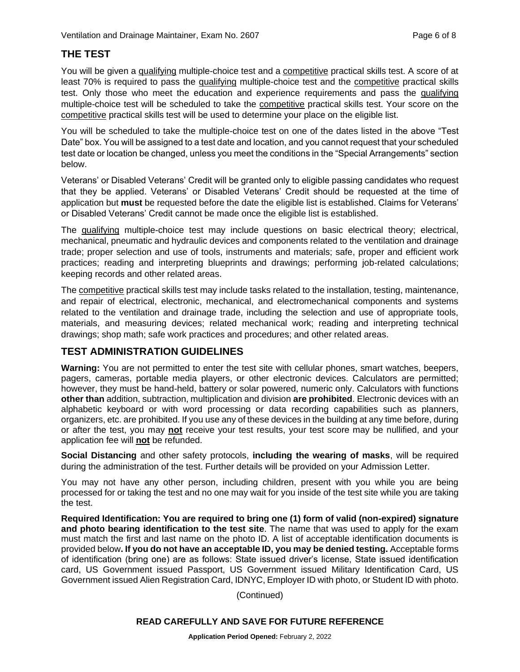## **THE TEST**

You will be given a qualifying multiple-choice test and a competitive practical skills test. A score of at least 70% is required to pass the qualifying multiple-choice test and the competitive practical skills test. Only those who meet the education and experience requirements and pass the qualifying multiple-choice test will be scheduled to take the competitive practical skills test. Your score on the competitive practical skills test will be used to determine your place on the eligible list.

You will be scheduled to take the multiple-choice test on one of the dates listed in the above "Test Date" box. You will be assigned to a test date and location, and you cannot request that your scheduled test date or location be changed, unless you meet the conditions in the "Special Arrangements" section below.

Veterans' or Disabled Veterans' Credit will be granted only to eligible passing candidates who request that they be applied. Veterans' or Disabled Veterans' Credit should be requested at the time of application but **must** be requested before the date the eligible list is established. Claims for Veterans' or Disabled Veterans' Credit cannot be made once the eligible list is established.

The qualifying multiple-choice test may include questions on basic electrical theory; electrical, mechanical, pneumatic and hydraulic devices and components related to the ventilation and drainage trade; proper selection and use of tools, instruments and materials; safe, proper and efficient work practices; reading and interpreting blueprints and drawings; performing job-related calculations; keeping records and other related areas.

The competitive practical skills test may include tasks related to the installation, testing, maintenance, and repair of electrical, electronic, mechanical, and electromechanical components and systems related to the ventilation and drainage trade, including the selection and use of appropriate tools, materials, and measuring devices; related mechanical work; reading and interpreting technical drawings; shop math; safe work practices and procedures; and other related areas.

## **TEST ADMINISTRATION GUIDELINES**

**Warning:** You are not permitted to enter the test site with cellular phones, smart watches, beepers, pagers, cameras, portable media players, or other electronic devices. Calculators are permitted; however, they must be hand-held, battery or solar powered, numeric only. Calculators with functions **other than** addition, subtraction, multiplication and division **are prohibited**. Electronic devices with an alphabetic keyboard or with word processing or data recording capabilities such as planners, organizers, etc. are prohibited. If you use any of these devices in the building at any time before, during or after the test, you may **not** receive your test results, your test score may be nullified, and your application fee will **not** be refunded.

**Social Distancing** and other safety protocols, **including the wearing of masks**, will be required during the administration of the test. Further details will be provided on your Admission Letter.

You may not have any other person, including children, present with you while you are being processed for or taking the test and no one may wait for you inside of the test site while you are taking the test.

**Required Identification: You are required to bring one (1) form of valid (non-expired) signature and photo bearing identification to the test site**. The name that was used to apply for the exam must match the first and last name on the photo ID. A list of acceptable identification documents is provided below**. If you do not have an acceptable ID, you may be denied testing.** Acceptable forms of identification (bring one) are as follows: State issued driver's license, State issued identification card, US Government issued Passport, US Government issued Military Identification Card, US Government issued Alien Registration Card, IDNYC, Employer ID with photo, or Student ID with photo.

(Continued)

#### **READ CAREFULLY AND SAVE FOR FUTURE REFERENCE**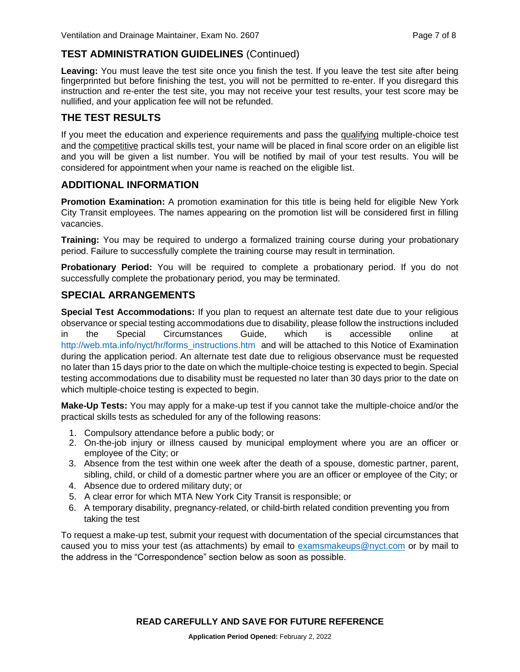## **TEST ADMINISTRATION GUIDELINES** (Continued)

**Leaving:** You must leave the test site once you finish the test. If you leave the test site after being fingerprinted but before finishing the test, you will not be permitted to re-enter. If you disregard this instruction and re-enter the test site, you may not receive your test results, your test score may be nullified, and your application fee will not be refunded.

## **THE TEST RESULTS**

If you meet the education and experience requirements and pass the qualifying multiple-choice test and the competitive practical skills test, your name will be placed in final score order on an eligible list and you will be given a list number. You will be notified by mail of your test results. You will be considered for appointment when your name is reached on the eligible list.

## **ADDITIONAL INFORMATION**

**Promotion Examination:** A promotion examination for this title is being held for eligible New York City Transit employees. The names appearing on the promotion list will be considered first in filling vacancies.

**Training:** You may be required to undergo a formalized training course during your probationary period. Failure to successfully complete the training course may result in termination.

**Probationary Period:** You will be required to complete a probationary period. If you do not successfully complete the probationary period, you may be terminated.

## **SPECIAL ARRANGEMENTS**

**Special Test Accommodations:** If you plan to request an alternate test date due to your religious observance or special testing accommodations due to disability, please follow the instructions included in the Special Circumstances Guide, which is accessible online [http://web.mta.info/nyct/hr/forms\\_instructions.htm](http://web.mta.info/nyct/hr/forms_instructions.htm) and will be attached to this Notice of Examination during the application period. An alternate test date due to religious observance must be requested no later than 15 days prior to the date on which the multiple-choice testing is expected to begin. Special testing accommodations due to disability must be requested no later than 30 days prior to the date on which multiple-choice testing is expected to begin.

**Make-Up Tests:** You may apply for a make-up test if you cannot take the multiple-choice and/or the practical skills tests as scheduled for any of the following reasons:

- 1. Compulsory attendance before a public body; or
- 2. On-the-job injury or illness caused by municipal employment where you are an officer or employee of the City; or
- 3. Absence from the test within one week after the death of a spouse, domestic partner, parent, sibling, child, or child of a domestic partner where you are an officer or employee of the City; or
- 4. Absence due to ordered military duty; or
- 5. A clear error for which MTA New York City Transit is responsible; or
- 6. A temporary disability, pregnancy-related, or child-birth related condition preventing you from taking the test

To request a make-up test, submit your request with documentation of the special circumstances that caused you to miss your test (as attachments) by email to [examsmakeups@nyct.com](mailto:examsmakeups@nyct.com) or by mail to the address in the "Correspondence" section below as soon as possible.